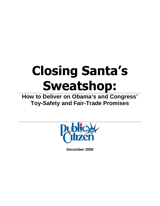# **Closing Santa's Sweatshop:**

**How to Deliver on Obama's and Congress' Toy-Safety and Fair-Trade Promises**



**December 2008**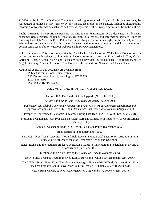© 2008 by Public Citizen's Global Trade Watch. All rights reserved. No part of this document may be reproduced or utilized in any form or by any means, electronic or mechanical, including photography, recording, or by information exchange and retrieval systems, without written permission from the authors.

Public Citizen is a nonprofit membership organization in Washington, D.C., dedicated to advancing consumer rights through lobbying, litigation, research, publications and information services. Since its founding by Ralph Nader in 1971, Public Citizen has fought for consumer rights in the marketplace, for safe and secure health care, for fair trade, for clean and safe energy sources, and for corporate and government accountability. Visit our web page at http://www.citizen.org.

Acknowledgments: This report was written by Todd Tucker. Thanks to Lori Wallach and Brandon Wu for writing and research assistance, along with collaborators from past reports. David Arkush, Tony Corbo, Christine Hines, Graham Steele and Patrick Woodall provided useful guidance. Additional thanks to Angela Bradbery, Michael Crawford, Ann Eveleth, Bill Holland, Joe Newman and James Ploeser.

Additional copies of this document are available from: Public Citizen's Global Trade Watch 215 Pennsylvania Ave SE, Washington, DC 20003

> (202) 546-4996 PC Product ID No: E9032

#### **Other Titles by Public Citizen's Global Trade Watch:**

Election 2008: Fair Trade Gets an Upgrade (November 2008)

*The Rise and Fall of Fast Track Trade Authority* (August 2008)

*Federalism and Global Governance: Comparative Analysis of Trade Agreement Negotiation and Approval Mechanisms Used in U.S. and Other Federalist Governance Systems* (August 2008)

Prosperity Undermined: Economic Outcomes During Fast Track-NAFTA-WTO Era (Aug. 2008)

Presidential Candidates' Key Proposals on Health Care and Climate Will Require WTO Modifications (February 2008)

Santa's Sweatshop: Made in D.C. With Bad Trade Policy (December 2007)

Trade Deficit in Food Safety (July 2007)

Peru-U.S. "Free Trade Agreement" Would Help Lock-In Failed Social Security Privatization in Peru (June 2007, with Americans for Democratic Action and USAction)

States' Rights and International Trade: A Legislator's Guide to Reinvigorating Federalism in the Era of Globalization (February 2007)

Election 2006: No To Staying the Course on Trade (November 2006)

How Politics Trumped Truth in the Neo-Liberal Revision of Chile's Development (Sept. 2006)

The WTO's Empty Hong Kong "Development Package": How the World Trade Organization's 97% Duty-Free Proposal Could Leave Poor Countries Worse Off (June 2006; with ActionAid)

*Whose Trade Organization? A Comprehensive Guide to the WTO* (New Press, 2004)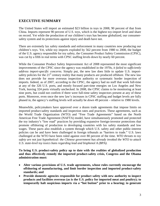#### **EXECUTIVE SUMMARY**

The United States will import an estimated \$23 billion in toys in 2008, 90 percent of that from China. Imports represent 90 percent of U.S. toys, which is the highest toy-import level and share on record. Yet while the production of our children's toys has become globalized, our consumersafety system and its protections against injury and death have not.

There are extremely lax safety standards and enforcement in many countries now producing our children's toys. Yet, while toy imports exploded by 562 percent from 1980 to 2008, the budget of the U.S. agency responsible for toy safety, the Consumer Product Safety Commission (CPSC), was cut by a fifth in real terms with CPSC staffing levels down by nearly 60 percent.

While the Consumer Product Safety Improvement Act of 2008 represented the most significant improvements of the CPSC since the agency was established in the 1970s, *it failed to sufficiently address import-specific concerns*. Simply put, the new law does little to update U.S. importsafety policies for the 21<sup>st</sup> century reality that many products are produced offshore. The new law does not provide for more overseas inspection authority or systematic border inspection of imports. Indeed, as of 2007, according to the CPSC, the agency had no staff that work full-time at any of the 326 U.S. ports, and mostly focused part-time energies on Los Angeles and New York, leaving 324 ports virtually unchecked. In 2008, the CPSC claims to be monitoring at least nine ports, but could not confirm if there were full-time safety inspectors present at any of these ports. Moreover, even once the new law's increases in CPSC staffing and budget levels are fully phased in, the agency's staffing levels will actually be *down* 49 percent – relative to 1980 levels.

Meanwhile, policymakers have approved over a dozen trade agreements that impose limits on imported product-safety standards and inspection rates and practices. These agreements, such as the World Trade Organization (WTO) and "Free Trade Agreements" based on the North American Free Trade Agreement (NAFTA) model, have simultaneously promoted and protected the toy industry's "low road" practices by providing expansive foreign-investor protections that promote offshoring of production to developing countries with lax safety standards and low wages. These pacts also establish a system through which U.S. safety and other public-interest policies can be and have been challenged in foreign tribunals as "barriers to trade." U.S. laws challenged at the WTO have been ruled against over 80 percent of the time. *WTO threats to toy safety are not just hypothetical: the Chinese government has already invoked the WTO to attack U.S. state-level toy toxics bans regarding lead and bisphenol A (BPA).*

**To bring U.S. product-safety policy up to date with the realities of globalized production and thus effectively remedy the imported product-safety crisis, Congress and the Obama administration must:**

- **Alter various provisions of U.S. trade agreements, whose rules currently encourage the offshoring of manufacturing, and limit border inspection and imported product-safety standards; and**
- **Provide domestic agencies responsible for product safety with new authority to inspect products and facilities overseas (as is the U.S. policy for imported meat and poultry); to temporarily halt suspicious imports via a "hot button" prior to a hearing; to generate**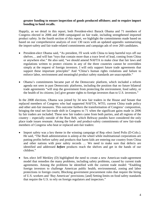#### **greater funding to ensure inspection of goods produced offshore; and to require import bonding to fund recalls.**

Happily, as we detail in this report, both President-elect Barack Obama and 71 members of Congress elected in 2006 and 2008 campaigned on fair trade, including strengthened imported product safety. In the fourth section of this report, we highlight the commitments made based on based on our comprehensive analysis of over 130 races with an updated appendix summarizing the import-safety and fair trade-related commitments and campaign ads of over 260 candidates.

- President-elect Obama said, "As president, I'll work with China to keep harmful toys off our shelves… and will ban "toys that contain more than a trace level of lead, coming from China or anywhere else." He also said, "we should amend NAFTA to make clear that fair laws and regulations written to protect citizens in any of the three countries cannot be overridden simply at the request of foreign investors. I will only support future trade agreements that support these important principles" And "China's human rights violations and failure to enforce labor, environment and meaningful product safety standards are unacceptable."
- Obama's commitments became part of the Democratic platform, which included a reform agenda not seen in past Democratic platforms, including the position that no future bilateral trade agreements "will stop the government from protecting the environment, food safety, or the health of its citizens; [or] give greater rights to foreign investors than to U.S. investors."

In the 2008 elections, Obama was joined by 34 new fair traders in the House and Senate that replaced members of Congress who had supported NAFTA, WTO, current China trade policy and other anti-fair measures. This outcome furthers the transformation of Congress' composition, bringing the total net fair-trade shift in Congress to 71 when the significant gains made in 2006 by fair traders are included. These new fair traders came from both parties, and all regions of the country – especially outside of the Rust Belt, which Beltway pundits have considered the only place trade issues resonate. Among the food- and product-safety commitments of new fair-trade members of Congress who beat or replaced anti-fair traders:

- Import safety was a key theme in the winning campaign of Rep.-elect Jared Polis (D-Colo.). He said, "The Bush administration is asleep at the wheel while multinational corporations are putting profits before safety and products that harm kids are entering our country from China and other nations with poor safety records … We need to make sure that defects are identified and addressed *before* products reach the shelves and get in the hands of our children."
- Sen.-elect Jeff Merkley (D) highlighted the need to create a new American trade-agreement model that remedies the many problems, including safety problems, caused by current trade agreements. Among the problems he identified with the current trade model: "Enabling foreign investors to challenge American public health, environmental, zoning and labor protections in foreign courts; Blocking government procurement rules that require the hiring of U.S. workers and 'Buy American' provisions; [and] Setting limits on food safety standards that require the U.S. to rely on foreign regulators and inspectors."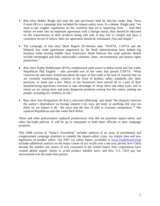- Rep.-elect Bobby Bright (D) took the seat previously held by anti-fair trader Rep. Terry Everett (R) in a campaign that included the import-safety issue. In a debate, Bright said, "we need to put tougher regulations on the countries that we're importing from … And then before we enter into an important agreement with a foreign nation, they should be educated on the requirements of their products being safe and, if they fail to comply and have a consistent record of failure, then our agreement should be terminated. Fast and simple."
- The campaign of Sen.-elect Mark Begich (D-Alaska) said, "NAFTA, CAFTA and the bilateral free trade agreements negotiated by the Bush administration have helped big business while hurting middle class Americans. Mark believes fair trade policies should include meaningful and fully enforceable consumer, labor, environmental and human rights protections."
- Rep.-elect Kathy Dahlkemper (D-Pa.) emphasized trade issues to defeat serial anti-fair trader Republican Phil English – who provided one of the votes that passed CAFTA: "What concerns me and many Americans about the topic of free trade is the lack of controls that we are currently experiencing; controls in the form of product safety standards...fair labor practices, to name just a few. Many of our businesses have moved all or a part of their manufacturing operations overseas to take advantage of cheap labor and other costs, and in return we are seeing more and more dangerous products coming into this nation, putting our people, including our children, at risk."
- Rep.-elect Ann Kirkpatrick (D-Ariz.) criticized offshoring<sup>[1](#page-26-0)</sup> and noted "the disparity between the nation's dependence on foreign imports ('oil, toys, pet food, or anything else you can think of, we import it all,' she says) and the loss of jobs to overseas competitors."[2](#page-26-1) She replaced Republican anti-fair trader Rick Renzi.

These and other policymakers replaced predecessors who did not prioritize import-safety and other fair-trade policies. It will be up to consumers to hold these officials to their campaign promises.

This 2008 version of "Santa's Sweatshop" includes analysis of an array of presidential and congressional campaign promises to remedy the import-safety crisis, toy import data and new legislation on product safety. Our 2007 toy safety report, (available at [www.TradeWatch.Org\)](http://www.tradewatch.org/) includes additional analysis on the major causes of toy recalls over a ten-year period; how China became the number one source of toys consumed in the United States; how corporations have created global supply chains to avoid product liability laws; and how U.S. CEO pay has skyrocketed over the same time period.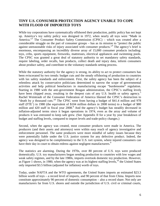### **TINY U.S. CONSUMER PROTECTION AGENCY UNABLE TO COPE WITH FLOOD OF IMPORTED TOYS**

While toy corporations have systematically offshored their production, public policy has not kept up. America's toy safety policy was designed in 1972, when nearly all toys were "Made in America."<sup>[3](#page-26-2)</sup> The Consumer Product Safety Commission (CPSC) – which was created after a considerable struggle on the part of consumer groups – has as its mission to "protect the public against unreasonable risks of injury associated with consumer products."[4](#page-26-3) The agency's brief is enormous, encompassing an incredibly diverse array of 15,000 consumer products including: toys, cribs, sports equipment, fireworks, mattresses, electrical appliances and swimming pools. The CPSC was granted a great deal of statutory authority to set mandatory safety standards, require labeling, order recalls, ban products, collect death and injury data, inform consumers about product safety, and contribute to the voluntary standards setting process.

While the statutory authority for the agency is strong, its ability to act to protect consumers has been eviscerated by two trends: budget cuts and the steady offshoring of production to countries with lax safety standards and enforcement. First, the safety agency has been the subject of a relentless attack by conservative politicians determined to narrow the scope of governmental activities and help political benefactors in manufacturing escape "burdensome" regulation. Starting in 1980 with the anti-government Reagan administration, the CPSC's staffing levels have been chipped away, resulting in the deepest cuts of any U.S. health or safety agency.<sup>[5](#page-26-4)</sup> Rachel Weintraub of the Consumer Federation of America likened the CPSC's destruction to "death by a thousandcuts."<sup>6</sup> The CPSC went from having a budget of \$41.4 million and 978 staff(FTE<sup>7</sup>) in 1980 (the equivalent of \$104 million dollars in 2008 terms) to a budget of \$80 million and 420 staff in fiscal year 200[8](#page-26-7).<sup>8</sup> And the agency's budget has steadily decreased in inflation-adjusted terms since it began operations in 1974, even as the array and volume of products it was entrusted to keep safe grew. (See Appendix II for a year by year breakdown of budget and staffing levels, compared to import levels and trade-policy changes.)

Second, when the agency was created, most consumer products were made in America. The producers (and their assets and attorneys) were within easy reach of agency investigative and enforcement personnel. The same producers were more mindful of safety issues because they were potentially liable under the U.S. justice system for any defective product. Indeed, the agency was designed to be complimentary to the U.S. tort system, where injured consumers can have their day in court to obtain redress against negligent manufacturers.<sup>[9](#page-26-8)</sup>

The statistics are alarming. During the 1970s, over 80 percent of U.S. toys were produced domestically. U.S. toy manufacturers began sending production to countries with low wages and weak safety regimes, and by the late 1980s, imports overtook domestic toy production. However, as Figure 1 shows, in 1980, when the agency was at its highest staffing levels,<sup>[10](#page-26-9)</sup> the United States only imported \$3.5 billion (adjusted for inflation) worth of toys.

Today, under NAFTA and the WTO agreements, the United States imports an estimated \$23.3 billion worth of toys – a record level of imports, and 90 percent of that from China. Imports now constitute approximately 90 percent of domestic consumption – also a record share. Not only are manufacturers far from U.S. shores and outside the jurisdiction of U.S. civil or criminal courts,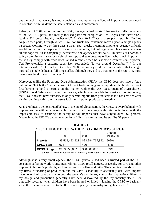but the decimated agency is simply unable to keep up with the flood of imports being produced in countries with lax domestic-safety standards and enforcement.

Indeed, as of 2007, according to the CPSC, the agency had no staff that worked full-time at any of the 326 U.S. ports, and mostly focused part-time energies on Los Angeles and New York, leaving 324 ports virtually unchecked.[11](#page-26-10) A *New York Times* exposé put it starkly: "In Los Angeles area ports, through which 15 million truck-size containers move a year, a single agency inspector, working two or three days a week, spot-checks incoming shipments. Agency officials would not permit the inspector to speak with a reporter, but colleagues said her assignment was all but hopeless. 'It is completely ineffective,' one agency official said… In New York harbor, a safety commission inspector rarely shows up, said two customs officers who check imports to see if they comply with trade laws. Asked recently when he last saw a commission inspector, Ted Fronckowiak, a customs supervisor, responded: 'It was around December.'"[12](#page-26-11) In our interviews with CPSC staff in December 2008, the agency could still not confirm that a single port had a single dedicated full-time staffer, although they did say that nine of the 326 U.S. ports have some level of staff coverage. $13$ 

Moreover, unlike the Food and Drug Administration (FDA), the CPSC does not have a "stop button" or "hot button" which allows it to halt trade in dangerous imports at the border without first having to hold a hearing on the matter. Unlike the U.S. Department of Agriculture's (USDA) Food Safety and Inspection Service, which is responsible for meat and poultry safety, the CPSC does not have authority to only permit imports from producers that it has certified after visiting and inspecting their overseas facilities shipping products to America.

As is graphically demonstrated below, in the era of globalization, the CPSC is overwhelmed with imports and – without a reasonable budget or all necessary authorities – is faced with the impossible task of ensuring the safety of toy imports that have surged over 562 percent. Meanwhile, the CPSC's budget was cut by a fifth in real terms, and its staff by 57 percent.

| vino bobnici. Od 1 milici in 1 imi matu odanic |                 |                  |                     |  |  |  |  |  |
|------------------------------------------------|-----------------|------------------|---------------------|--|--|--|--|--|
|                                                | 1980            | 2008             | Change<br>1980-2008 |  |  |  |  |  |
| <b>Imports</b>                                 | \$3,519,493,921 | \$23,284,767,342 | 562%                |  |  |  |  |  |
| <b>CPSC Staff</b>                              | 978             | 420              | $-57%$              |  |  |  |  |  |
| <b>CPSC Budget</b>                             | \$103,750,087   | \$80,000,000     | $-23%$              |  |  |  |  |  |

**FIGURE 1 CPSC BUDGET CUT WHILE TOY IMPORTS SURGE**

*Source: Consumer Federation of America; News reports; UN Comtrade*

Although it is a very small agency, the CPSC generally had been a trusted part of the U.S. consumer safety network. Consumers rely on CPSC recall notices, especially for toys and other important children's products, such as car seats, strollers and cribs. The combined trends of U.S. toy firms' offshoring of production and the CPSC's inability to adequately deal with imports have done significant damage to both the agency's and the toy companies' reputations. Flaws in toy design and production generally have been discovered by the toy industry itself – or tragically revealed when children have been injured or killed – leaving the CPSC to basically serve the role as press officer to the flawed attempts by the industry to regulate itself.<sup>[14](#page-26-13)</sup>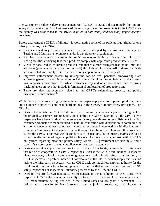The Consumer Product Safety Improvement Act (CPSIA) of 2008 did not remedy the importsafety crisis. While the CPSIA represented the most significant improvements to the CPSC since the agency was established in the 1970s, *it failed to sufficiently address many import-specific concerns*.

Before analyzing the CPSIA's failings, it is worth noting some of the policies it got right. Among other provisions, the CPSIA:

- Enacts a mandatory toy-safety standard that was developed by the American Society for Testing and Materials, a voluntary standards development organization;
- Requires manufacturers of certain children's products to obtain certificates from third-party testing facilities certifying that their products comply with applicable product-safety rules;
- Virtually bans lead in children's products, establishes a more stringent lead-paint limit, and also bans (permanently or on an interim basis) six kinds of phthalates. All of these chemicals are associated with safety risks. The ban becomes operational in February 2009;
- Improves enforcement powers by raising the cap on civil penalties, empowering state attorneys general to seek injunctions to halt numerous violations of federal product-safety law, increasing protections for whistleblowers at toy and other companies, and requiring tracking labels on toys that include information about location of production; and
- There are also improvements related to the CPSC's rulemaking process, and public disclosure of information.<sup>[15](#page-26-14)</sup>

While these provisions are highly laudable and on paper apply also to imported products, there are a number of practical and legal shortcomings in the CPSIA's import-safety provisions. The CPSIA:

- Does not establish the CPSC's right to inspect foreign manufacturing plants. Dating back to the original Consumer Product Safety Act (Public Law 92-573, Section 16), the CPSC's own inspectors have been "authorized to enter any factory, warehouse, or establishment in which consumer products are manufactured or held, in connection with distribution in commerce, or any conveyance being used to transport consumer products in connection with distribution in commerce" and inspect the safety of items therein. One obvious problem with this procedure is that the CPSC is not *required* to conduct such inspections, but is merely *authorized* to do so at the discretion of agency political leaders. As noted, this contrasts with USDA's obligations regarding meat and poultry safety, where U.S. government officials must find a country's safety system plants' compliance to meet certain standards;
- Does not provide explicit authorities to bar products from foreign companies or producers that refuse to cooperate with CPSC inspections. Even if the CSPC were inclined to inspects plants overseas, a foreign company or government could simply refuse to allow entry to CPSC inspectors – a problem noted but not resolved in the CPSIA, which simply entrusts this task to the third-party inspectors with no CPSC back-up, much less explicit authority for the CPSC to stop imports from foreign plants or countries that refuse to cooperate with CPSC safety inspections or inspectors – authority possessed by the FDA and USDA;
- Does not require foreign manufacturers to consent to the jurisdiction of U.S. courts with respect to CPSC enforcement actions. By contrast, current motor-vehicle law requires non U.S. manufacturers selling vehicles in the United States to designate a permanent U.S. resident as an agent for service of process as well as judicial proceedings that might result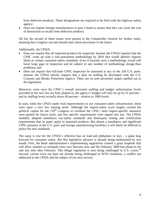from defective products. These designations are required to be filed with the highway-safety agency;

 Does not require foreign manufacturers to post a bond to ensure that they can cover the cost of destruction or recalls from defective products.

All but the second of these issues were punted to the Comptroller General for further study, meaning that Congress can and should enact these provisions in the future.

Additionally, the CPSIA:

- Does not require that all imported products be inspected. Instead, the CPSIA requires that the CPSC come up with a risk-assessment methodology by 2010 that would identify imports likely to violate consumer-safety standards. Even if enacted, such a methodology would still leave large gaps in inspection and be subject to any number of methodology design-flaw problems; and
- Does not require that full-time CPSC inspectors be stationed at any of the 326 U.S. ports. Instead, the CPSIA merely requires that a plan on staffing be developed with the U.S. Customs and Border Protection Agency. There are no port personnel targets spelled out in the legislation.

Moreover, even once the CPSC's overall increased staffing and budget authorization levels provided in the new law are fully phased in, the agency's budget will only be up by 31 percent – and its staffing levels actually down 49 percent – relative to 1980 levels.

In sum, while the CPSIA made vital improvements in our consumer-safety infrastructure, these were upon a very low starting point. Although the import-safety scare largely created the political capital for the 110<sup>th</sup> Congress to overhaul the CPSC, most import-specific measures were punted for future study, and few specific requirements were signed into law. The CPSIA laudably adopted mandatory toy-safety standards and third-party testing and certification requirements that on paper apply to imported products. But absent a mandatory and significant CPSC presence at the U.S. ports and foreign manufacturing facilities, it will likely be difficult to police the new standards.

The same is true for the CPSIA's effective ban on lead and phthalates in toys  $-$  a giant leap forward for consumer safety. But this legislative advance is already being undermined by two trends. First, the Bush administration's implementing regulations created a giant loophole that will allow retailers to stockpile toxic toys between now and the February 2009 ban phase-in for sale any time after February. This illegal regulation is now being challenged in U.S. courts.<sup>[16](#page-26-15)</sup> Second, various toxic toy bans are already being challenged as WTO violations, a conflict not addressed in the CPSIA and the subject of our next section.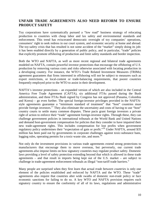#### **UNFAIR TRADE AGREEMENTS ALSO NEED REFORM TO ENSURE PRODUCT SAFETY**

Toy corporations have systematically pursued a "low road" business strategy of relocating production to countries with cheap labor and lax safety and environmental standards and enforcement. This trend has eviscerated democratic oversight of toy companies' operations, consumers' right to seek redress in our court system, and economic security at home and abroad. The toy-safety crisis that has resulted is not some accident of the "market" simply doing its job: it has been enabled directly by a generation of public policy, and in particular, "trade" policies that explicitly promote offshoring of production and limit safety standards and border inspection.

Both the WTO and NAFTA, as well as more recent regional and bilateral trade agreements modeled on NAFTA, contain powerful investor protections that encourage the offshoring of U.S. production by removing various costs and risks otherwise associated with locating production in a developing country. For instance, the WTO's Trade Related Investment Measures (TRIMs) agreement guarantees that firms interested in offshoring will not be subject to measures such as export restrictions, or local-content or trade-balancing requirements, that poorer countries frequently employed prior to the WTO to assist in their development.

NAFTA's investor protections – an expanded version of which are also included in the Central America Free Trade Agreement (CAFTA), six additional FTAs passed during the Bush administration, and three FTAs Bush signed by Congress has not approved (Panama, Colombia and Korea) – go even further. The special foreign-investor privileges provided in the NAFTAstyle agreements guarantee a "minimum standard of treatment" that "host" countries must provide foreign investors.<sup>[17](#page-26-16)</sup> They also eliminate the uncertainty and costs of having to use "host" country courts to settle many common disputes. These pacts grant foreign investors a private right of action to enforce their "trade" agreement foreign-investor rights. Through these, they can challenge government policies in international tribunals at the World Bank and United Nations and demand host-government compensation for policies that they consider to have impaired their new trade-agreement rights. This includes compensation for lost profits when government regulatory policy undermines their "expectation of gain or profit."<sup>[18](#page-26-17)</sup> Under NAFTA, around \$35 million has been paid out by governments in corporate challenges against toxic-substance bans, logging rules, operating permits for a toxic-waste site, and more.<sup>[19](#page-26-18)</sup>

Not only do the investment provisions in various trade agreements extend strong protections to manufacturers that encourage them to move overseas, but perversely, our current trade agreements *also* impose limits on how signatory countries may regulate product safety. Domestic laws providing a level of safety protection extending beyond that which is allowed in these trade agreements – and that result in imports being kept out of the U.S. market – are subject to challenge in trade-agreement enforcement tribunals as illegal "non-tariff trade barriers."

Many people are surprised when they first learn that actual *trade between countries* is only one element of the policies established and enforced by NAFTA and the WTO. These "trade" agreements also require that countries alter wide swaths of domestic *non-trade* policy or face economic sanctions for failing to do so. A key WTO and NAFTA provision requires each signatory country to ensure the conformity of all of its laws, regulations and administrative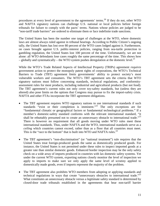procedures at every level of government to the agreements' terms.<sup>[20](#page-26-19)</sup> If they do not, other WTO and NAFTA signatory nations can challenge U.S. national or local policies before foreign tribunals for failure to comply with the pacts' terms. Nations whose policies are judged to be "non-tariff trade barriers" are ordered to eliminate them or face indefinite trade sanctions.

The United States has been the number one target of challenges at the WTO, where domestic laws are almost always ruled against in tribunal hearings. According to Public Citizen's ongoing tally, the United States has lost over 80 percent of the WTO cases lodged against it. Furthermore, on cases brought against U.S. public-interest policies, ranging from sea-turtle protection to gambling regulation, the United States lost 100 percent of the time. Unfortunately, we are not alone: all WTO defendants lose cases roughly the same percentage of the time. This shows how – globally and systematically – the WTO system pushes deregulation at the domestic level.<sup>[21](#page-26-20)</sup>

While the WTO's Trade Related Aspects of Intellectual Property (TRIPs) agreement *requires* government action to protect the monopoly patent rights of corporations, the WTO's Technical Barriers to Trade (TBT) agreement *limits* governments' ability to protect society's most vulnerable workers and consumers. The WTO's TBT agreement sets the criteria that WTO signatory nations must follow concerning standards, technical regulations, and conformityassessment rules for most products, including industrial and agricultural products (but not food). The TBT agreement's current rules not only cover toy-safety standards, but (unless they are altered) also pose limits on the options that Congress may pursue to fix the import-safety crisis. NAFTA and other FTAs incorporate the TBT agreement obligations.

- The TBT agreement requires WTO signatory nations to use international standards if such standards "exist or their completion is imminent."<sup>[22](#page-26-21)</sup> The only exceptions are for "fundamental climatic or geographical factors or fundamental technological problems." If a member's domestic-safety standard conforms with the relevant international standard, "it shall be rebuttably presumed not to create an unnecessary obstacle to international trade."<sup>[23](#page-26-22)</sup> There is however no requirement that all goods moving under WTO rules meet these international standards. Thus, under NAFTA and the WTO, international standards serve as a *ceiling* which countries cannot exceed, rather than as a floor that all countries must meet. Thisis the "race to the bottom" that is built into WTO and NAFTA rules[.](#page-26-23) $^{24}$
- The TBT agreement's "non-discrimination" (or "national treatment") rule requires that the United States treat foreign-produced goods the same as domestically produced goods. For instance, the United States is not permitted under these rules to inspect imported goods at a greater rate than similar domestic goods. Enhanced border inspection may be the only safety check on a wide array of imports produced in countries with lax domestic safety systems. Yet under the current WTO system, exporting nations closely monitor the level of inspection we apply to imports to make sure we only apply the same level of scrutiny applied to domestically made goods, even if imports represent the majority of the problem.
- The TBT agreement also prohibits WTO members from adopting or applying standards and technical regulations in ways that create "unnecessary obstacles to international trade."<sup>[25](#page-26-24)</sup> What constitutes an unnecessary obstacle versus a legitimate safety standard is determined by closed-door trade tribunals established in the agreements that hear non-tariff barrier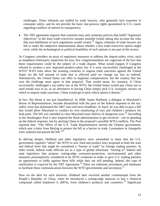challenges. These tribunals are staffed by trade lawyers, who generally lack expertise in consumer safety, and do not provide the basic due-process rights guaranteed in U.S. courts regarding conflicts of interest or transparency.

 The TBT agreement requires that countries may only maintain policies that fulfill "legitimate objectives" in the *least trade-restrictive* manner possible (while taking into account the risks that non-fulfillment of such regulations would create). [26](#page-26-25) Again, tribunals of trade lawyers are left to make the subjective determination about whether a less trade-restrictive option might exist, while the technological or political feasibility of such options is not part of the review.

As Congress considers an array of regulatory measures to address the import-safety crisis, such as mandatory third-party inspection for toys, few congressmembers are cognizant of the fact that these requirements could be the subject of a trade dispute. What would happen if Congress refused to weaken a new imported product-safety law if it were successfully challenged at the WTO? WTO rules allow the winning countries to impose trade sanctions against the United States for the full amount of trade that is affected *until* we change our law as ordered. Alternatively, the United States can offer to negotiate compensation, but the country that has won the challenge must agree to that proposal. That would mean, for instance, if China successfully challenged a toy-safety law at the WTO, the United States would pay China not to send unsafe toys to us, as an alternative to having China simply pick U.S. economic sectors on which to impose trade sanctions. China would get to pick which option it desires. $27$ 

In fact, this threat is not just hypothetical. In 2008, James Hubbard, a delegate in Maryland's House of Representatives, became dissatisfied with the pace of the federal response to the toysafety crisis that dominated the 2007 year-end news headlines. In April, he was able to pass a bill that would allow Maryland to conduct its own monitoring of toys and children's products for leadpaint. The bill was intended to clear Maryland store shelves of dangerous toys.<sup>28</sup> According to the *Washington Post* it also inspired the Bush administration to get involved – not in speeding up the federal response, but by alerting China to the proposal's possible WTO conflicts. The *Post* reported that: "The Office of the U.S. Trade Representative alerted the Chinese government, which sent a letter from Beijing to protest the bill as a barrier to trade. Lawmakers in Annapolis wereunfazed and passed the bill."<sup>29</sup>

In delving deeper, Hubbard and other legislators were astonished to learn that the U.S. government regularly "alerts" the WTO to new food and product laws proposed at both the state and federal level that might be considered a "barrier to trade" by foreign trading partners. In other words, federal trade officials act as a type of global informant, "turning in" federal and state legislators that propose cutting-edge consumer-protection, environmental and other measures presumptively considered to be WTO violations in order to give U.S. trading partners an opportunity to *lobby against* these bills while they are still pending. Indeed, this type of notification is *required* by the TBT Agreement. [30](#page-26-29) There are elaborate procedures and databases to facilitate these communications between the WTO governments and secretariat.<sup>[31](#page-26-30)</sup>

Now on the alert for such missives, Hubbard later received another communiqué from the People's Republic of China, when he introduced a cutting-edge measure to ban a chemical compound called bisphenol A (BPA), from children's products and cosmetics.<sup>[32](#page-26-31)</sup> Significant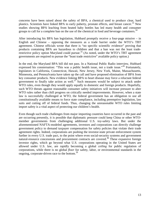concerns have been raised about the safety of BPA, a chemical used to produce clear, hard plastics. Scientists have linked BPA to early puberty, prostate effects, and breast cancer.<sup>[33](#page-26-32)</sup> New studies showing BPA leaching from heated baby bottles has led many health and consumer groups to call for a complete ban on the use of the chemical in food and beverage containers.<sup>[34](#page-26-33)</sup>

After introducing his BPA ban legislation, Hubbard promptly receive a four-page missive – in English and Chinese – opposing the measures as a trade barrier under the WTO's TBT agreement. Chinese officials wrote that there is "no specific scientific evidence" proving that products containing BPA are hazardous to children and that a ban was not the least trade-restrictive policy option Maryland could pursue.<sup>[35](#page-26-34)</sup> (As noted, under the WTO's TBT agreement governments are required to pursue the "least trade restrictive" available policy option.)

In the end, the Maryland BPA bill did not pass. In a National Public Radio interview, Hubbard expressed his consternation: "This was a public health issue, not a trade issue."<sup>[36](#page-26-35)</sup> Fortunately, legislators in California, Connecticut, Hawaii, New Jersey, New York, Maine, Massachusetts, Minnesota, and Pennsylvania have taken up the call and have proposed elimination of BPA from key consumer products. New evidence linking BPA to heart disease may force a reluctant federal governmentto finally take action as well. $3^7$  Such measures would be subject to attack under WTO rules, even though they would apply equally to domestic and foreign products. Hopefully, such WTO threats against reasonable consumer safety initiatives will increase pressure to alter WTO rules rather than chill progress on critically needed improvements. However, when a state law is successfully challenged at WTO, the federal government has an obligation to use all constitutionally available means to force state compliance, including preemptive legislation, law suits and cutting off of federal funds. Thus, changing the unreasonable WTO rules limiting import safety is a vital aspect of protecting our children's health.

Even though such trade challenges from major importing countries have occurred in the past and are occurring presently, it is possible that diplomatic pressure could keep China or other WTOmember governments from challenging additional U.S. toy-safety laws. But under the aforementioned NAFTA-modeled agreements, investors and corporations can directly challenge government policy to demand taxpayer compensation for safety policies that violate their trade agreement rights. Indeed, corporations are pushing the investor-state private enforcement system further in every U.S. trade pact, to the point where even social-security systems and government natural-resource concessions and procurement contracts are covered.<sup>[38](#page-26-37)</sup> These expansive foreign investor rights, which go beyond what U.S. corporations operating in the United States are allowed under U.S. law, are rapidly becoming a global *ceiling* for public regulation of corporations, while there is no global *floor* for safety, labor, or environmental standards in the ongoing, corporate-driven race to the bottom.<sup>[39](#page-26-38)</sup>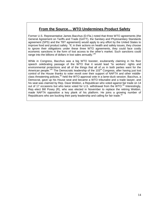## **From the Source… WTO Undermines Product Safety**

Former U.S. Representative James Bacchus (D-Fla.) noted that three WTO agreements (the General Agreement on Tariffs and Trade (GATT), the Sanitary and Phytosanitary Standards agreement (SPS) and the TBT agreement) would apply to any effort by the United States to improve food and product safety. "If, in their actions on health and safety issues, they choose to ignore their obligations under these three WTO agreements, they could face costly economic sanctions in the form of lost access to the other's market. Such sanctions could range into the billions of dollars in lost sales annually."<sup>[40](#page-26-39)</sup>

While in Congress, Bacchus was a big WTO booster, exuberantly claiming in his floor speech celebrating passage of the WTO that it would lead "to workers' rights and environmental protections and all of the things that all of us in both parties want for the American people."<sup>[41](#page-26-40)</sup> The Democratic leadership of the 103<sup>rd</sup> Congress, after having just lost control of the House thanks to voter revolt over their support of NAFTA and other middleclass threatening policies, $42$  held the WTO approval vote in a lame-duck session. Bacchus, a Democrat, gave up his House seat and became a WTO tribunalist and a trade lawyer, and his seat was claimed by Rep. Dave Weldon, a Republican who voted against fair trade on 14 out of 17 occasions but who twice voted for U.S. withdrawal from the WTO.<sup>[43](#page-26-42)</sup> Interestingly, Rep.-elect Bill Posey (R), who was elected in November to replace the retiring Weldon, made NAFTA opposition a key plank of his platform. He joins a growing number of Republicans who are bucking their party leadership and calling for fair trade. $44$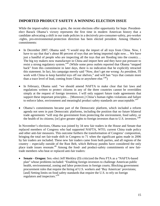#### **IMPORTED PRODUCT SAFETY A WINNING ELECTION ISSUE**

While the import-safety scene is grim, the recent elections offer opportunity for hope. Presidentelect Barack Obama's victory represents the first time in modern American history that a candidate advocating a shift in our trade policies in a decisively pro-consumer-safety, pro-worker -rights, pro-environmental-protection direction has been elected president. Among Obama's commitments:

- In December 2007, Obama said: "I would stop the import of all toys from China. Now, I have to say that that's about 80 percent of toys that are being imported right now... We have just a handful of people who are inspecting all the toys that are flooding into the country… The big toy makers now manufacture in China and import here and they have put pressure to resist a strong regulatory system."[45](#page-26-44) (While some press outlets reported that Obama "stepped back" from this commitment in later days, there is no indication that he explicitly retracted this statement. In fact, his campaign merely said "Now, don't get me wrong: As president, I'll work with China to keep harmful toys off our shelves," and will ban "toys that contain more than a trace level of lead, coming from China or anywhere else.<sup> $,46$  $,46$ </sup>)
- In February, Obama said: "we should amend NAFTA to make clear that fair laws and regulations written to protect citizens in any of the three countries cannot be overridden simply at the request of foreign investors. I will only support future trade agreements that support these important principles… [Moreover,] China's human rights violations and failure to enforce labor, environment and meaningful product safety standards are unacceptable."<sup>[47](#page-26-46)</sup>
- Obama's commitments became part of the Democratic platform, which included a reform agenda not seen in past Democratic platforms, including the position that no future bilateral trade agreements "will stop the government from protecting the environment, food safety, or the health of its citizens; [or] give greater rights to foreign investors than to U.S. investors.<sup> $48$ </sup>

In November's elections, Obama was joined by 34 new fair traders in the House and Senate that replaced members of Congress who had supported NAFTA, WTO, current China trade policy and other anti-fair measures. This outcome furthers the transformation of Congress' composition, bringing the total net fair-trade shift in Congress to 71 when the significant gains made in 2006 by fair traders are included. These new fair traders came from both parties, and all regions of the country – especially outside of the Rust Belt, which Beltway pundits have considered the only place trade issues resonate.<sup>[49](#page-26-26)</sup> Among the food- and product-safety commitments of new fairtrade members who beat or replaced anti-fair traders:

 **Senate - Oregon:** Sen.-elect Jeff Merkley (D) criticized the Peru FTA as a "NAFTA-based plan" whose problems included: "Enabling foreign investors to challenge American public health, environmental, zoning and labor protections in foreign courts; Blocking government procurement rules that require the hiring of U.S. workers and 'Buy American' provisions; [and] Setting limits on food safety standards that require the U.S. to rely on foreign regulators and inspectors."[50](#page-26-47)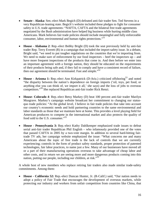- **Senate - Alaska**: Sen.-elect Mark Begich (D) defeated anti-fair trader Sen. Ted Stevens in a very Republican-leaning state. Begich's website included these pledges to fight for consumer safety in U.S. trade agreements: "NAFTA, CAFTA and the bilateral free trade agreements negotiated by the Bush administration have helped big business while hurting middle class Americans. Mark believes fair trade policies should include meaningful and fully enforceable consumer, labor, environmental and human rights protections."[51](#page-26-48)
- **House - Alabama 2**: Rep.-elect Bobby Bright (D) took the seat previously held by anti-fair trader Rep. Terry Everett (R) in a campaign that included the import-safety issue. In a debate, Bright said, "we need to put tougher regulations on the countries that we're importing from. We need to make sure of enforcement by our food inspectors – beef the inspectors  $up$  – and have more frequent inspections of the products that come in. And then before we enter into an important agreement with a foreign nation, they should be educated on the requirements of their products being safe and, if they fail to comply and have a consistent record of failure, then our agreement should be terminated. Fast and simple. $152$  $152$
- **House - Arizona 1:** Rep.-elect Ann Kirkpatrick (D-Ariz.) criticized offshoring<sup>[53](#page-26-50)</sup> and noted "the disparity between the nation's dependence on foreign imports ('oil, toys, pet food, or anything else you can think of, we import it all,' she says) and the loss of jobs to overseas competitors."<sup>[54](#page-26-51)</sup> She replaced Republican anti-fair trader Rick Renzi.
- **House- Colorado 4**: Rep.-elect Betsy Markey (D) beat 100 percent anti-fair trader Marilyn Musgrave. Markey's campaign website broadcast her commitment to changing our statusquo trade policies: "At the global level, I believe in fair trade policies that take into account our country's economic needs and hold partnering countries to the same environmental and labor standards as those that we maintain here at home. This provides a level playing field for American producers to compete in the international market and also protects the quality of food sold to the U.S. consumer."<sup>[55](#page-26-52)</sup>
- **House - Pennsylvania 3:** Rep.-elect Kathy Dahlkemper emphasized trade issues to defeat serial anti-fair trader Republican Phil English – who infamously provided one of the votes that passed CAFTA in 2005 by a two-vote margin. In addition to several hard-hitting fairtrade TV ads, her campaign website emphasized the issue: "What concerns me and many Americans about the topic of free trade is the lack of controls that we are currently experiencing; controls in the form of product safety standards, proper protection of patented technologies, fair labor practices, to name just a few. Many of our businesses have moved all or a part of their manufacturing operations overseas to take advantage of cheap labor and other costs, and in return we are seeing more and more dangerous products coming into this nation, putting our people, including our children, at risk."<sup>[56](#page-26-53)</sup>

A whole host of new members who replace retiring fair traders also made similar trade-safety commitments. Among them:

 **House - California 52:** Rep.-elect Duncan Hunter, Jr. (R-Calif.) said, "Our nation needs to adopt a policy of Fair Trade that encourages the development of overseas markets, while protecting our industry and workers from unfair competition from countries like China, that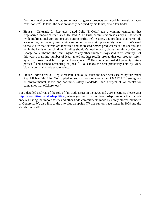flood our market with inferior, sometimes dangerous products produced in near-slave labor conditions."<sup>[57](#page-26-54)</sup> He takes the seat previously occupied by his father, also a fair trader.

- **House - Colorado 2:** Rep.-elect Jared Polis (D-Colo.) ran a winning campaign that emphasized import-safety issues. He said, "The Bush administration is asleep at the wheel while multinational corporations are putting profits before safety and products that harm kids are entering our country from China and other nations with poor safety records … We need to make sure that defects are identified and addressed *before* products reach the shelves and get in the hands of our children. Families shouldn't need to worry about the safety of Curious George dolls, Thomas the Tank Engine, or any other children's toys sold in this country. But this year's alarming number of lead-tainted product recalls proves that our product safety system is broken and fails to protect consumers."[58](#page-26-55) His campaign hosted toy-safety testing parties,  $59$  and bashed offshoring of jobs.  $60$  Polis takes the seat previously held by Mark Udall, now a fair-trade senator-elect.
- **House - New York 21**: Rep.-elect Paul Tonko (D) takes the open seat vacated by fair trader Rep. Michael McNulty. Tonko pledged support for a renegotiation of NAFTA "to strengthen its environmental, labor, and consumer safety standards," and a repeal of tax breaks for companiesthat offshore jobs[.](#page-26-30)<sup>61</sup>

For a detailed analysis of the role of fair-trade issues in the 2006 and 2008 elections, please visit [http://www.citizen.org/trade/politics/,](http://www.citizen.org/trade/politics/) where you will find our two in-depth reports that include annexes listing the import-safety and other trade commitments made by newly-elected members of Congress. We also link to the 140-plus campaign TV ads run on trade issues in 2008 and the 25 ads run in 2006.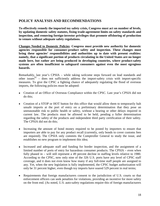#### **POLICY ANALYSIS AND RECOMMENDATIONS**

**To effectively remedy the imported toy safety crisis, Congress must act on number of levels, by updating domestic safety statutes, fixing trade-agreement limits on safety standards and inspection, and removing foreign-investor privileges that promote offshoring of production to venues without adequate safety regulations.**

**Changes Needed to Domestic Policies**: **Congress must provide new authority for domestic agencies responsible for consumer-product safety and inspection. These changes must bring these agencies' responsibilities and authorities up to date with present realities: namely, that a significant portion of products circulating in the United States are no longer made here, but rather are being produced in developing countries, where product-safety systems are often insufficient to safeguard consumers against even the most egregious hazards.**

Remarkably, last year's CPSIA – while taking welcome steps forward on lead standards and other issues  $62$  – does not sufficiently address the import-safety crisis with import-specific measures. To give the CPSC a fighting chance of adequately regulating the flood of overseas imports, the following policies must be adopted:

- Creation of an Office of Overseas Compliance within the CPSC. Last year's CPSIA did not do this;
- Creation of a STOP or HOT button for this office that would allow them to temporarily halt unsafe imports at the port of entry on a preliminary determination that they pose an unreasonable risk to public health or safety, without a hearing or other delays required in current law. The products must be allowed to be held, pending a fuller determination regarding the safety of the products and independent third party certification of their safety. The CPSIA did not do this;
- Increasing the amount of bond money required to be posted by importers to ensure that importers are able to pay for any product recall (currently, only bonds to cover customs fees are required). The CPSIA only commits the Comptroller General to study the issue, and establishes no new program to implement this idea;
- Increased and adequate staff and funding for border inspection, and the assignment of a limited number of ports of entry for hazardous consumer products. The CPSIA – even when fully phased in – will still represent a 49 percent decline in staffing levels relative to 1980. According to the CPSC, now only nine of the 326 U.S. ports have any level of CPSC staff coverage, and it does not even know how many if any full-time staff people are assigned to any. Yet, when the new legislation is fully implemented, the CPSC budget authorization will only be 31 percent higher, even though toy imports have soared 529 percent in real terms;
- Requirements that foreign manufacturers consent to the jurisdiction of U.S. courts so that enforcement officers can seek penalties for violations, providing an incentive for more safety on the front end. (As noted, U.S. auto-safety regulations require this of foreign manufacturers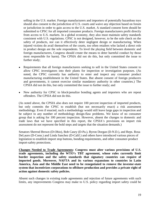selling in the U.S. market. Foreign manufacturers and importers of potentially hazardous toys should also consent to the jurisdiction of U.S. courts and waive any objection based on forum or jurisdiction in order to gain access to the U.S. market. A standard consent form should be submitted to CPSC for all imported consumer products. Foreign manufacturers profit directly from access to U.S. markets. In a global economy, they also must maintain safety standards consistent with U.S. regulations. CPSC is not designed, however, to be the sole check on the safety of products, nor can it effectively deter negligent design or manufacturing. When injured victims do avail themselves of the courts, too often retailers who lacked a direct role in product design are the sole respondents. To level the playing field between domestic and foreign manufacturers, Congress should create the means to deter harmful conduct by those most responsible for harm). The CPSIA did not do this, but only committed the issue to further study;

- Requirements that all foreign manufacturers seeking to sell in the United States consent to allow CPSC investigators into their plants for inspection or investigation purposes. (As noted, the CPSC currently has authority to enter and inspect any consumer product manufacturing establishment in the United States. But absent consent of foreign producers and governments, it cannot exercise similar mandatory authority in other countries.) The CPSIA did not do this, but only committed the issue to further study; and
- New authority for CPSC to block/penalize bonding agents and importers who are repeat offenders. The CPSIA did not do this.

(As noted above, the CPSIA also does not require 100 percent inspection of imported products, but only commits the CPSC to establish (but not necessarily enact) a risk assessment methodology. Even if enacted, such a methodology would still leave large gaps in inspection and be subject to any number of methodology design-flaw problems. We know of no consumer group that is asking for 100 percent inspection. However, absent the changes to domestic and trade laws that we have specified in this report, the CPSIA's provisions on import risk assessment do not represent the bold steps and targets that the situation demands.)

Senators Sherrod Brown (D-Ohio), Bob Casey (D-Pa.), Byron Dorgan (D-N.D.), and Reps. Rosa DeLauro (D-Conn.) and Linda Sanchez (D-Calif.) and others have introduced various pieces of legislation to establish import stop buttons, bonding requirements, and other consumer-product import-safety protections.

**Changes Needed to Trade Agreements: Congress must alter various provisions of U.S. trade agreements, including the WTO's TBT agreement, whose rules currently limit border inspection and the safety standards that signatory countries can require of imported goods. Moreover, NAFTA and its various expansions to countries in Latin America, Asia and the Middle East need to be renegotiated to remove the investor-state system that incentivizes corporations to offshore production and provides a private right of action against domestic safety policies.**

Absent such changes in existing trade agreements and rejection of future agreements with such limits, any improvements Congress may make to U.S. policy regarding import safety could be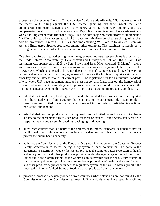exposed to challenge as "non-tariff trade barriers" before trade tribunals. With the exception of the recent WTO ruling against the U.S. Internet gambling ban (after which the Bush administration ultimately sought a deal to withdraw gambling from WTO authority and pay compensation to do so), both Democratic and Republican administrations have systematically worked to implement trade tribunal rulings. This includes major political efforts to implement a NAFTA order to allow access to all U.S. roads for Mexico-domiciled trucks, gutting U.S. dolphin protections to meet GATT rules, and implementing WTO orders to weaken Clean Air Act and Endangered Species Act rules, among other examples. This readiness to acquiesce to trade agreement panels' orders to weaken our domestic public-interest laws must stop.

One clear path forward to addressing the trade-agreement import-safety problems is provided by the Trade Reform, Accountability, Development and Employment Act, or TRADE Act. This legislation was sponsored in 2008 by Sen. Brown and Rep. Mike Michaud (D-Maine) – along with cosponsors representing diverse congressional caucuses and regions of the country. The TRADE Act, which is expected to be reintroduced in the  $111<sup>th</sup>$  Congress, could pave the way for review and renegotiation of existing agreements to remove the limits on import safety, among other key public interest reforms of current pacts. The legislation sets forth minimum standards of what every U.S. trade agreement must and must not contain. It also lays out the framework of a new trade-agreement negotiating and approval process that could ensure pacts meet the minimum standards. Among the TRADE Act's provisions regarding import safety are those that:

- establish that food, feed, food ingredients, and other related food products may be imported into the United States from a country that is a party to the agreement only if such products meet or exceed United States standards with respect to food safety, pesticides, inspections, packaging, and labeling;
- establish that nonfood products may be imported into the United States from a country that is a party to the agreement only if such products meet or exceed United States standards with respect to health and safety, inspections, packaging, and labeling;
- allow each country that is a party to the agreement to impose standards designed to protect public health and safety unless it can be clearly demonstrated that such standards do not protect the public health or safety;
- authorize the Commissioner of the Food and Drug Administration and the Consumer Product Safety Commission to assess the regulatory system of each country that is a party to the agreement to determine whether the system provides the same or better protection of health and safety for food and other products as provided under the regulatory system of the United States and if the Commissioner or the Commission determines that the regulatory system of such a country does not provide the same or better protection of health and safety for food and other products as provided under the regulatory system of the United States, prohibit the importation into the United States of food and other products from that country;
- provide a process by which producers from countries whose standards are not found by the Commissioner or the Commission to meet U.S. standards may have specific facilities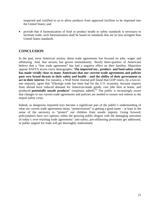inspected and certified so as to allow products from approved facilities to be imported into the United States; and

 provide that if harmonization of food or product health or safety standards is necessary to facilitate trade, such harmonization shall be based on standards that are no less stringent than United States standards.

#### **CONCLUSION**

In the past, most American anxiety about trade agreements has focused on jobs, wages and offshoring. And, that anxiety has grown tremendously. Nearly three-quarters of Americans believe that a "free trade agreement" has had a negative effect on their families. Majorities oppose NAFTA across every demographic. **The imported toy-, product- and food-safety crisis has made vividly clear to many Americans that our current trade agreements and policies pose very broad threats to their safety and health – and the ability of their government to act in their interest**. For instance, a Wall Street Journal poll found that GOP voters, by a two-toone majority, agree that "[f]oreign trade has been bad for the U.S. economy, because imports from abroad have reduced demand for American-made goods, cost jobs here at home, and produced **potentially unsafe products**" [emphasis added].<sup>[63](#page-26-58)</sup> The public is increasingly aware that changes to our current trade agreements and policies are needed to ensure real redress to the import safety crisis.

Indeed, as dangerous imported toys become a significant part of the public's understanding of what our current trade agreements mean, "protectionism" is getting a good name – at least in the sense of the necessity to "protect" our children from unsafe imports. Going forward, policymakers have two options: either the growing public disgust with the damaging outcomes of today's over-reaching trade agreements' anti-safety, pro-offshoring provisions get addressed, or public support for trade will get thoroughly undermined.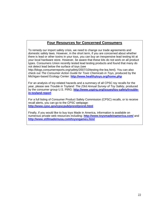## **Four Resources for Concerned Consumers**

To remedy our import safety crisis, we need to change our trade agreements and domestic safety laws. However, in the short term, if you are concerned about whether there is lead or other toxins in your toys, you can buy an inexpensive lead testing kit at your local hardware store. However, be aware that these kits do not work on all product types. Consumers Union recently tested lead testing products and found that many do not detect lead below the surface of toys (see

http://blogs.consumerreports.org/safety/2007/10/testing-the-lea.html). You can also check out *The Consumer Action Guide for Toxic Chemicals in Toys*, produced by the Michigan-based Ecology Center: **<http://www.healthytoys.org/home.php>**

For an analysis of toy-related hazards and a summary of all CPSC toy recalls for the year, please see *Trouble in Toyland: The 23rd Annual Survey of Toy Safety*, produced by the consumer group U.S. PIRG: **[http://www.uspirg.org/issues/toy-safety/trouble](http://www.uspirg.org/issues/toy-safety/trouble-in-toyland-report)[in-toyland-report](http://www.uspirg.org/issues/toy-safety/trouble-in-toyland-report)**

For a full listing of Consumer Product Safety Commission (CPSC) recalls, or to receive recall alerts, you can go to the CPSC webpage: **<http://www.cpsc.gov/cpscpub/prerel/prerel.html>**

Finally, if you would like to buy toys Made in America, information is available on numerous private web resources including: **<http://www.toysmadeinamerica.com/>** and **<http://www.stillmadeinusa.com/toysngames.html>**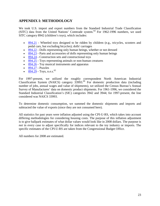## **APPENDIX I: METHODOLOGY**

We took U.S. import and export numbers from the Standard Industrial Trade Classification (SITC) data from the United Nations' Comtrade system.<sup>[64](#page-26-31)</sup> For 1962-1996 numbers, we used SITC category 8942 (children's toys), which includes:

- [894.21](http://unstats.un.org/unsd/cr/registry/regcs.asp?Cl=14&Lg=1&Co=894.21) Wheeled toys designed to be ridden by children (e.g., tricycles, scooters and pedal cars, but excluding bicycles); dolls' carriages
- [894.22](http://unstats.un.org/unsd/cr/registry/regcs.asp?Cl=14&Lg=1&Co=894.22) Dolls representing only human beings, whether or not dressed
- $\cdot$  [894.23](http://unstats.un.org/unsd/cr/registry/regcs.asp?Cl=14&Lg=1&Co=894.23) Parts and accessories of dolls representing only human beings
- $\cdot$  [894.24](http://unstats.un.org/unsd/cr/registry/regcs.asp?Cl=14&Lg=1&Co=894.24) Construction sets and constructional toys
- [894.25](http://unstats.un.org/unsd/cr/registry/regcs.asp?Cl=14&Lg=1&Co=894.25) Toys representing animals or non-human creatures
- [894.26](http://unstats.un.org/unsd/cr/registry/regcs.asp?Cl=14&Lg=1&Co=894.26) Toy musical instruments and apparatus
- $\bullet$  [894.27](http://unstats.un.org/unsd/cr/registry/regcs.asp?Cl=14&Lg=1&Co=894.27) Puzzles
- $894.29$  Toys, n.e.s.<sup>65</sup>

For 1997-present, we utilized the roughly correspondent North American Industrial Classification System (NAICS) category 33993.<sup>[66](#page-26-32)</sup> For domestic production data (including number of jobs, annual wages and value of shipments), we utilized the Census Bureau's Annual Survey of Manufactures' data on domestic product shipments. For 1961-1996, we considered the Standard Industrial Classification's (SIC) categories 3942 and 3944; for 1997-present, the line considered was NAICS 33993.

To determine domestic consumption, we summed the domestic shipments and imports and subtracted the value of exports (since they are not consumed here).

All statistics for past years were inflation adjusted using the CPI-U-RS, which takes into account differing methodologies for considering housing costs. The purpose of this inflation adjustment is to give ballpark estimates of what dollar values would look like in 2008 dollars. The purpose is *not* in every case to adjust specifically for indices relevant to the toy industry or imports. The specific estimates of the CPI-U-RS are taken from the Congressional Budget Office.

All numbers for 2008 are estimated.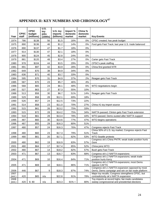# **APPENDIX II: KEY NUMBERS AND CHRONOLOGY<sup>67</sup>**

| Year           | <b>CPSC</b><br>staff | <b>CPSC</b><br>budget<br>(millions) | $\overline{U.S.}$<br>toy<br>jobs<br>(1000s) | U.S. toy<br>imports<br>(billions) | Import %<br>domestic<br>market | China %<br>domestic<br>market | <b>Key Events</b>                                                                                       |
|----------------|----------------------|-------------------------------------|---------------------------------------------|-----------------------------------|--------------------------------|-------------------------------|---------------------------------------------------------------------------------------------------------|
| 1974           | 786                  | \$138                               | 56                                          | \$1.5                             | 16%                            | 0%                            | CPSC created; has peak budget                                                                           |
| 1975           | 890                  | \$136                               | 46                                          | \$1.2                             | 14%                            | $0\%$                         | Ford gets Fast Track; last year U.S. trade balanced                                                     |
| 1976           | 890                  | \$137                               | 47                                          | \$1.7                             | 18%                            | 0%                            |                                                                                                         |
| 1977           | 914                  | \$130                               | 47                                          | \$2.1                             | 18%                            | 0%                            |                                                                                                         |
| 1978           | 900                  | \$124                               | 45                                          | \$2.8                             | 24%                            | 0%                            |                                                                                                         |
| 1979           | 881                  | \$120                               | 48                                          | \$3.4                             | 27%                            | 0%                            | Carter gets Fast Track                                                                                  |
| 1980           | 978                  | \$104                               | 44                                          | \$3.5                             | 29%                            | 0%                            | CPSC's peak staffing                                                                                    |
| 1981           | 891                  | \$97                                | 42                                          | \$3.9                             | 28%                            | 0%                            | China first granted NTR                                                                                 |
| 1982           | 649                  | \$70                                | 38                                          | \$4.9                             | 34%                            | 0%                            |                                                                                                         |
| 1983           | 636                  | \$71                                | 40                                          | \$3.7                             | 33%                            | 0%                            |                                                                                                         |
| 1984           | 595                  | \$70                                | 31                                          | \$4.9                             | 37%                            | 2%                            | Reagan gets Fast Track                                                                                  |
| 1985           | 587                  | \$70                                | 23                                          | \$5.7                             | 46%                            | 4%                            |                                                                                                         |
| 1986           | 568                  | \$65                                | 24                                          | \$6.1                             | 48%                            | 6%                            | WTO negotiations begin                                                                                  |
| 1987           | 527                  | \$63                                | 27                                          | \$7.3                             | 55%                            | 10%                           |                                                                                                         |
| 1988           | 513                  | \$58                                | 30                                          | \$6.7                             | 51%                            | 14%                           | Reagan gets Fast Track                                                                                  |
| 1989           | 529                  | \$58                                | 28                                          | \$12.1                            | 69%                            | 18%                           |                                                                                                         |
| 1990           | 526                  | \$57                                | 24                                          | \$12.5                            | 73%                            | 22%                           |                                                                                                         |
| 1991           | 514                  | \$58                                | 23                                          | \$11.0                            | 70%                            | 27%                           | China #1 toy import source                                                                              |
| 1992           | 515                  | \$61                                | 26                                          | \$13.2                            | 75%                            | 33%                           |                                                                                                         |
| 1993           | 515                  | \$72                                | 28                                          | \$14.2                            | 75%                            | 34%                           | NAFTA passed; Clinton gets Fast Track extension                                                         |
| 1994           | 518                  | \$61                                | 28                                          | \$13.4                            | 78%                            | 44%                           | WTO passed; Dems ousted after NAFTA support                                                             |
| 1995           | 487                  | \$60                                | 30                                          | \$14.6                            | 77%                            | 47%                           | WTO begins operations                                                                                   |
| 1996           | 487                  | \$55                                | 29                                          | \$16.3                            | 80%                            | 51%                           |                                                                                                         |
| 1997           | 480                  | \$57                                | 24                                          | \$16.3                            | 76%                            | 47%                           | Congress rejects Fast Track                                                                             |
|                |                      |                                     |                                             |                                   |                                |                               | China 50% of U.S. toy market; Congress rejects Fast                                                     |
| 1998           | 480                  | \$60                                | 23                                          | \$17.3                            | 79%                            | 51%                           | <b>Track</b>                                                                                            |
| 1999           | 480                  | \$61                                | 20                                          | \$17.1                            | 82%                            | 53%                           | <b>WTO Seattle protests</b><br>Congress ok's China PNTR; weak trade position hurts                      |
| 2000           | 480                  | \$62                                | 19                                          | \$16.9                            | 83%                            | 57%                           | Gore                                                                                                    |
| 2001           | 480                  | \$64                                | 17                                          | \$17.4                            | 85%                            | 52%                           | China joins WTO                                                                                         |
| 2002           | 480                  | \$67                                | 14                                          | \$18.2                            | 82%                            | 57%                           | Bush gets Fast Track                                                                                    |
| 2003           | 471                  | \$67                                | 13                                          | \$16.7                            | 83%                            | 68%                           | Congress ok's 2 NAFTA expansions                                                                        |
|                |                      |                                     |                                             |                                   |                                |                               | Congress ok's 2 NAFTA expansions; weak trade                                                            |
| 2004           | 471                  | \$69                                | 10                                          | \$16.4                            | 84%                            | 71%                           | position hurts Kerry<br>Congress ok's 2 NAFTA expansions; most Dems                                     |
| 2005           | 471                  | \$69                                | 10                                          | \$18.1                            | 86%                            | 71%                           | oppose CAFTA                                                                                            |
|                |                      |                                     |                                             |                                   |                                |                               | Congress ok's 1 NAFTA expansion opposed by most                                                         |
| 2006<br>2007   | 446                  | \$67                                | 9                                           | \$18.3                            | 87%                            | 74%                           | Dems; Dems campaign and win on fair trade platform<br>Major toy recalls; Congress strengthens CPSC, but |
| (est.)         | 420                  | \$65                                | n/a                                         | \$22.8                            | 91%                            | 78%                           | contradictorily ok's NAFTA expansion                                                                    |
| 2008<br>(est.) | 420                  | \$80                                | n/a                                         | \$23.3                            | $91% +$                        | 80%                           | Toy imports at record highs; fair-trade candidates<br>sweep congressional and presidential elections    |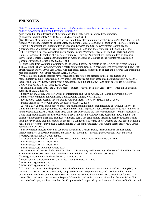#### **ENDNOTES**

<sup>1</sup> http://www.kirkpatrickforarizona.com/news\_entry/kirkpatrick\_launches\_district\_wide\_tour\_for\_change

2 http://www.emilyslist.org/candidates/ann\_kirkpatrick/

3 *See* Appendix I for a description of methodology for all otherwise unsourced trade numbers.

<sup>4</sup> Consumer Product Safety Act, 15 U.S.C. 2051, section 2(b)(1).

5 Sari Horwitz, "Consumer agency faces an uncertain future after tumultuous week," *Washington Post,* Jan. 6, 1985. <sup>6</sup> Rachel Weintraub, Director of Product Safety and Senior Counsel, Consumer Federation of America, Testimony Before the Appropriations Subcommittee on Financial Services and General Government Committee on

Appropriations, U.S. House of Representatives, Hearing on Consumer Protection Issues, Feb. 28, 2007, at 3.

<sup>7</sup> FTE represents a full time equivalent staffing ratio. Rachel Weintraub, Director of Product Safety and Senior Counsel, Consumer Federation of America, Testimony Before the Appropriations Subcommittee on Financial Services and General Government Committee on Appropriations, U.S. House of Representatives, Hearing on Consumer Protection Issues, Feb. 28, 2007, at 3.

 $8$  Figures taken from Weintraub testimony and inflation adjusted. For reports on the CPSC's early years through 1980, *see* Burt Schorr, "Consumer product safety commission finds deep hazards in just getting itself rolling," *Wall Street Journal,* May 6, 1975; Stan Crock, "Product-safety agency fights cuts in budget and power as Congress mulls role of regulators," *Wall Street Journal,* April 30, 1981.

<sup>9</sup> While collective liability theories have evolved to better reflect the disperse nature of production in a "contemporary complex industrial society," many such theories are still "based on a national market." *See* John B. Isbister and Jaime W. Luse, "Liability for a product that you did not make," *Federation of Defense & Corporate Counsel Quarterly,* Vol. 57, Issue 1, Fall 2006.

 $10$  In inflation adjusted terms, the CPSC's highest budget level was in its first year  $-1974$  – when it had a budget authority of \$125.5 million.

<sup>11</sup> Scott Wolfson, Deputy Director, Office of Information and Public Affairs, U.S. Consumer Product Safety Commission, communication with Mary Bottari, Public Citizen, Nov. 13, 2007.

<sup>12</sup> Eric Lipton, "Safety Agency Faces Scrutiny Amid Changes," *New York Times*, Sept. 2, 2007.

<sup>13</sup> Public Citizen interview with CPSC Spokesperson, Dec. 2, 2008.

<sup>14</sup> A *Wall Street Journal* article reported that "the relentless migration of manufacturing to far-flung factories in China and other developing countries has made it increasingly impractical for Western retailers to rely solely on inhouse product testing. As a result, more large chains are outsourcing the task to independent [foreign] specialists... Using independent testers can also *reduce a retailer's liability if a customer sues,* because it shows a good-faith effort by the retailer to offer safe products" (emphasis ours). The article noted that many such contractors are not testing for everything that they should: in one case, a contractor was "hired to test whether the toys posed a choking hazard, but not whether they posed a suffocation risk." *See* Matt Pottinger, "Outsourcing safety tests," *Wall Street Journal,* Nov. 26, 2004.

<sup>15</sup> For a complete analysis of the bill, see David Arkush and Graham Steele, "The Consumer Product Safety" Improvement Act of 2008: A Summary and Analysis," *Bureau of National Affairs Product Safety & Liability Reporter,* 36: 38, Sept. 29, 2008, at 940.

<sup>16</sup> <sup>to</sup> Lawsuit Seeks to Enforce Ban on Toxic Toys," Public Citizen News Release, Dec. 4, 2008.

<sup>17</sup> For instance, NAFTA Article 1105.

<sup>18</sup> For instance, NAFTA Article 1105.

<sup>18</sup> For instance, U.S.-Peru FTA Article 10.28.

<sup>19</sup> Mary Bottari and Lori Wallach, "NAFTA Threat to Sovereignty and Democracy: The Record of NAFTA Chapter 11 Investor-State Cases 1994-2005," Public Citizen's Global Trade Watch, February 2005.

<sup>20</sup> *See* e.g. Agreement Establishing the WTO, Article XVI-4.

<sup>21</sup> Public Citizen's database on WTO win-loss ratios See www. XTXTX.

<sup>22</sup> WTO TBT Agreement Art. 2.4.

<sup>23</sup> WTO TBT Agreement Art. 2.5.

<sup>24</sup> The TBT agreement cites the product standards of the International Organization for Standardization (ISO) in Geneva. The ISO is a private-sector body comprised of industry representatives, and very few public interest organizations are able to sit on its 2500 working groups. Its technical committee 181 sets standards for toys. The current ISO standard for lead in toys is 90 ppm. While this standard is currently stricter than the out-of-date U.S. standard of 600 ppm, it is less strict than the 40 ppm standard supported by the American Academy of Pediatrics and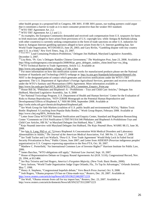other health groups in a proposed bill in Congress, HR 3691. If HR 3691 passes, our trading partners could argue that it constitutes a barrier to trade as it is more consumer protective than the weaker ISO standard.

<sup>26</sup> WTO TBT Agreement Art 2.2 and 2.3.

<sup>27</sup> As examples, the European Community demanded and received cash compensation from U.S. taxpayers for harm to Irish musicians alleged to have arisen from provisions of U.S. copyright law; while Antigua & Barbuda (along with other countries) is currently seeking compensation in the form of trade sanctions on other U.S. industries for harm to Antiguan Internet gambling operators alleged to have arisen from the U.S. Internet gambling ban. *See* World Trade Organization, WT/DS160/23, June 26, 2003; and Gary Rivlin, "Gambling dispute with tiny country puts U.S. in a bind," *New York Times,* Aug. 23, 2007.

<sup>17 House Bill 8, "</sup>Lead Containing Products-Prohibition," Delegate Jim Hubbard, Maryland Legislative Assembly, December 3, 2007.

<sup>29</sup> Lisa Rein, "Pr. Geo.'s Delegate Rankles Chinese Government," *The Washington Post,* June 23, 2008. Available at http://blog.washingtonpost.com/annapolis/2008/06/pr\_geos\_delegate\_rankles\_chine.html?nav=rss\_blog. <sup>30</sup> WTO Technical Barrier to Trade Agreement, Article 3.2. Available at:

http://www.wto.org/english/docs\_e/legal\_e/17-tbt\_e.htm

 $31$  For more information on how this notification system works for manufactured products please see the National Institute of Standards and Technology (NIST) webpage at: http://ts.nist.gov/Standards/Information/tbtmotif.cfm. NIST is the designated point of contact which generates and receives notifications under the WTO's TBT agreement. The U.S. Department of Agriculture's Foreign Agricultural Services, generates and receives notifications under the WTO's Sanitary and Phytosanitary (SPS) Agreement. More information available at:

http://www.fas.usda.gov/itp/OSTA\_IRSD/WTO\_SPS\_Committee\_Enquiry\_Point.asp

 $32$  House Bill 56, "Phthalates and Bisphenol–A – Prohibitions – Toys and Child Care Articles," Delegate Jim Hubbard, Maryland Legislative Assembly, Jan. 9, 2008

<sup>33</sup> See National Toxicology Program, U.S. Department of Health and Human Services' Center for the Evaluation of Risks to Human Reproduction, "NTP CERHR Monograph on the Potential Human Reproductive and Developmental Effects of Bisphenol A," NIH 08-5994, September 2008. Available at

http://cerhr.niehs.nih.gov/chemicals/bisphenol/bisphenol.pdf.

<sup>34</sup> See Work Group for Safe Markets (coalition of U.S. public health and environmental NGOs), "Babies Toxic Bottle: Bisphenol A Leaching from Popular Baby Bottles," Work Group Report, February 2008. Available at http://www.chej.org/BPA\_Website.htm.

<sup>25</sup> Letter from China WTO/TBT National Notification and Enquiry Center, Standard and Regulation Researching Center "Comments on USA Notification G/TBT/N/USA/346 Phthalates and Bisphenol-A-Prohibitions-Toys and Child Care Articles, HB 56," to Maryland Delegate Jim Hubbard, May 7, 2008.

<sup>36</sup> Kojo Nnamdi interview with Maryland Delegate Jim Hubbard, *The Kojo Nnamdi Show*, WAMU 88.15, June 30, 2008.

<sup>37</sup> *See* Iain A. Lang, PhD *et. al.* "Urinary Bisphenol A Concentration With Medical Disorders and Laboratory Abnormalities in Adults," *The Journal of the American Medical Association,* Vol. 300 No. 11, Sept. 17, 2008

<sup>38</sup> See Todd Tucker and Lori Wallach, "Peru-U.S. 'Free Trade Agreement' Would Help Lock In Failed Social Security Privatization in Peru," Public Citizen, June 2007; and Letter from AIDESEP (Peruvian indigenous peoples' organization) to U.S. Congress expressing opposition to the Peru FTA, Oct. 30, 2007.

<sup>39</sup> Matthew C. Porterfield, "An International Common Law of Investor Rights?" Harrison Institute for Public Law, 2006.

<sup>40</sup> James Bacchus, "WTO obligations still apply," *National Law Journal,* Sept. 10, 2007.

<sup>41</sup> House of Representatives Debate on Uruguay Round Agreements Act (H.R. 5110), Congressional Record, Nov. 29, 1994, at H11484.

<sup>42</sup> *See* Ruy Teixeira and Joel Rogers, *America's Forgotten Majority*, (New York: Basic Books, 2000).

<sup>43</sup> Jerry Jackson, "World Trade Organization Judge Urges Orlando, Fla., To Tap Its Advantages," *Orlando Sentinel,* May 7, 1998.

<sup>44</sup> Henry A. Stephens, "Congressional hopefuls debate," *Vero Beach Press Journal*, Oct. 9, 2008.

<sup>45</sup> Josh Rogers, "Obama proposes US ban on China-made toys," *Reuters,* Dec. 20, 2007. Available at: http://www.reuters.com/article/topNews/idUSN1962534620071219.

 $\frac{46 \text{ Jim Wolf}}{46 \text{ Jim Wolf}}$  "Obama retreats from call for toy import ban," Reuters, Dec. 23, 2007. Available at: http://www.reuters.com/article/domesticNews/idUSN2327351220071223

 $25$  WTO TBT Agreement Art. 2.2.